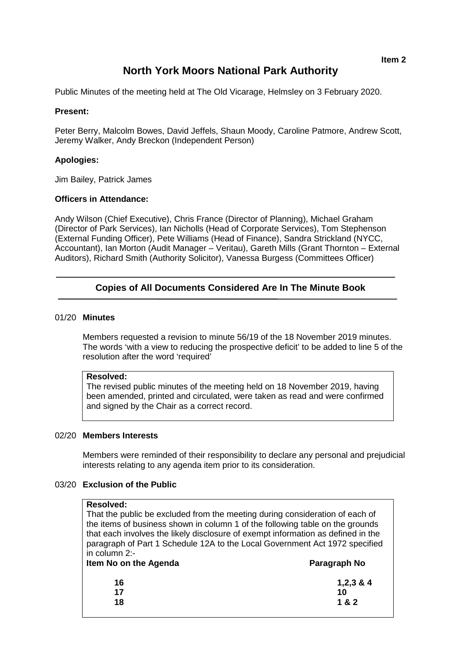# **North York Moors National Park Authority**

Public Minutes of the meeting held at The Old Vicarage, Helmsley on 3 February 2020.

## **Present:**

Peter Berry, Malcolm Bowes, David Jeffels, Shaun Moody, Caroline Patmore, Andrew Scott, Jeremy Walker, Andy Breckon (Independent Person)

## **Apologies:**

Jim Bailey, Patrick James

## **Officers in Attendance:**

Andy Wilson (Chief Executive), Chris France (Director of Planning), Michael Graham (Director of Park Services), Ian Nicholls (Head of Corporate Services), Tom Stephenson (External Funding Officer), Pete Williams (Head of Finance), Sandra Strickland (NYCC, Accountant), Ian Morton (Audit Manager – Veritau), Gareth Mills (Grant Thornton – External Auditors), Richard Smith (Authority Solicitor), Vanessa Burgess (Committees Officer)

# **Copies of All Documents Considered Are In The Minute Book**

## 01/20 **Minutes**

Members requested a revision to minute 56/19 of the 18 November 2019 minutes. The words 'with a view to reducing the prospective deficit' to be added to line 5 of the resolution after the word 'required'

#### **Resolved:**

The revised public minutes of the meeting held on 18 November 2019, having been amended, printed and circulated, were taken as read and were confirmed and signed by the Chair as a correct record.

#### 02/20 **Members Interests**

Members were reminded of their responsibility to declare any personal and prejudicial interests relating to any agenda item prior to its consideration.

#### 03/20 **Exclusion of the Public**

## **Resolved:**

That the public be excluded from the meeting during consideration of each of the items of business shown in column 1 of the following table on the grounds that each involves the likely disclosure of exempt information as defined in the paragraph of Part 1 Schedule 12A to the Local Government Act 1972 specified in column 2:-<br>Item No on t

| Item No on the Agenda | Paragraph No |
|-----------------------|--------------|
| 16                    | $1,2,3 \& 4$ |
| 17                    | 10           |
| 18                    | 1 & 2        |
|                       |              |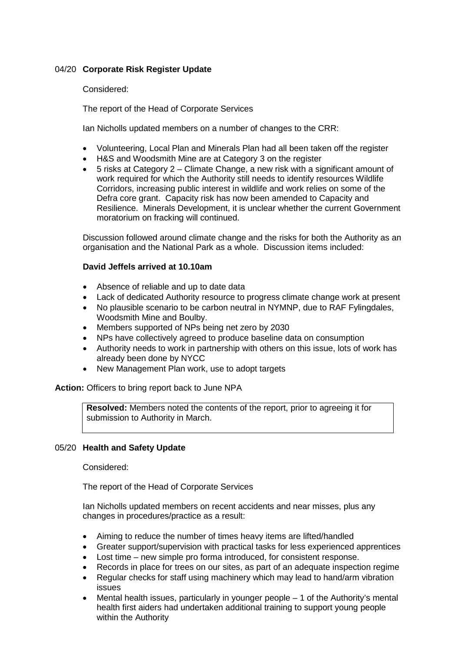# 04/20 **Corporate Risk Register Update**

# Considered:

The report of the Head of Corporate Services

Ian Nicholls updated members on a number of changes to the CRR:

- Volunteering, Local Plan and Minerals Plan had all been taken off the register
- H&S and Woodsmith Mine are at Category 3 on the register
- $\bullet$  5 risks at Category 2 Climate Change, a new risk with a significant amount of work required for which the Authority still needs to identify resources Wildlife Corridors, increasing public interest in wildlife and work relies on some of the Defra core grant. Capacity risk has now been amended to Capacity and Resilience. Minerals Development, it is unclear whether the current Government moratorium on fracking will continued.

Discussion followed around climate change and the risks for both the Authority as an organisation and the National Park as a whole. Discussion items included:

#### **David Jeffels arrived at 10.10am**

- Absence of reliable and up to date data
- Lack of dedicated Authority resource to progress climate change work at present
- No plausible scenario to be carbon neutral in NYMNP, due to RAF Fylingdales, Woodsmith Mine and Boulby.
- Members supported of NPs being net zero by 2030
- NPs have collectively agreed to produce baseline data on consumption
- Authority needs to work in partnership with others on this issue, lots of work has already been done by NYCC
- New Management Plan work, use to adopt targets

**Action:** Officers to bring report back to June NPA

**Resolved:** Members noted the contents of the report, prior to agreeing it for submission to Authority in March.

# 05/20 **Health and Safety Update**

Considered:

The report of the Head of Corporate Services

Ian Nicholls updated members on recent accidents and near misses, plus any changes in procedures/practice as a result:

- Aiming to reduce the number of times heavy items are lifted/handled
- Greater support/supervision with practical tasks for less experienced apprentices
- Lost time new simple pro forma introduced, for consistent response.
- Records in place for trees on our sites, as part of an adequate inspection regime
- Regular checks for staff using machinery which may lead to hand/arm vibration issues
- Mental health issues, particularly in younger people 1 of the Authority's mental health first aiders had undertaken additional training to support young people within the Authority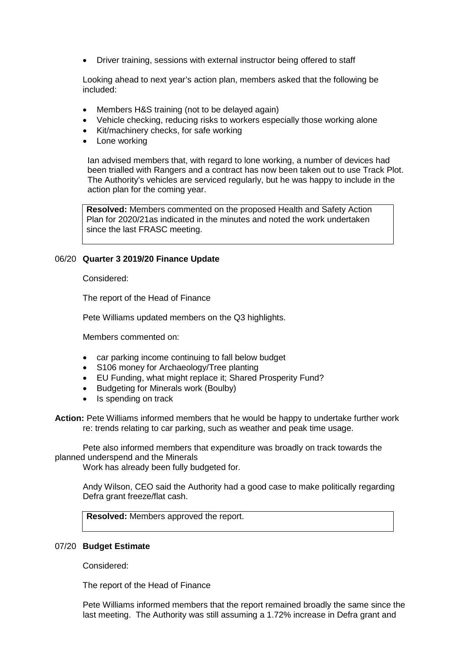• Driver training, sessions with external instructor being offered to staff

Looking ahead to next year's action plan, members asked that the following be included:

- Members H&S training (not to be delayed again)
- Vehicle checking, reducing risks to workers especially those working alone
- Kit/machinery checks, for safe working
- Lone working

Ian advised members that, with regard to lone working, a number of devices had been trialled with Rangers and a contract has now been taken out to use Track Plot. The Authority's vehicles are serviced regularly, but he was happy to include in the action plan for the coming year.

**Resolved:** Members commented on the proposed Health and Safety Action Plan for 2020/21as indicated in the minutes and noted the work undertaken since the last FRASC meeting.

## 06/20 **Quarter 3 2019/20 Finance Update**

Considered:

The report of the Head of Finance

Pete Williams updated members on the Q3 highlights.

Members commented on:

- car parking income continuing to fall below budget
- S106 money for Archaeology/Tree planting
- EU Funding, what might replace it; Shared Prosperity Fund?
- Budgeting for Minerals work (Boulby)
- Is spending on track

**Action:** Pete Williams informed members that he would be happy to undertake further work re: trends relating to car parking, such as weather and peak time usage.

Pete also informed members that expenditure was broadly on track towards the planned underspend and the Minerals

Work has already been fully budgeted for.

Andy Wilson, CEO said the Authority had a good case to make politically regarding Defra grant freeze/flat cash.

**Resolved:** Members approved the report.

#### 07/20 **Budget Estimate**

Considered:

The report of the Head of Finance

Pete Williams informed members that the report remained broadly the same since the last meeting. The Authority was still assuming a 1.72% increase in Defra grant and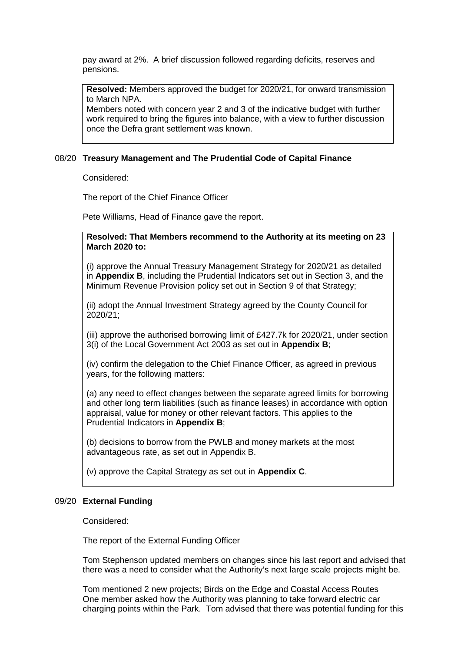pay award at 2%. A brief discussion followed regarding deficits, reserves and pensions.

**Resolved:** Members approved the budget for 2020/21, for onward transmission to March NPA.

Members noted with concern year 2 and 3 of the indicative budget with further work required to bring the figures into balance, with a view to further discussion once the Defra grant settlement was known.

## 08/20 **Treasury Management and The Prudential Code of Capital Finance**

Considered:

The report of the Chief Finance Officer

Pete Williams, Head of Finance gave the report.

**Resolved: That Members recommend to the Authority at its meeting on 23 March 2020 to:**

(i) approve the Annual Treasury Management Strategy for 2020/21 as detailed in **Appendix B**, including the Prudential Indicators set out in Section 3, and the Minimum Revenue Provision policy set out in Section 9 of that Strategy;

(ii) adopt the Annual Investment Strategy agreed by the County Council for 2020/21;

(iii) approve the authorised borrowing limit of £427.7k for 2020/21, under section 3(i) of the Local Government Act 2003 as set out in **Appendix B**;

(iv) confirm the delegation to the Chief Finance Officer, as agreed in previous years, for the following matters:

(a) any need to effect changes between the separate agreed limits for borrowing and other long term liabilities (such as finance leases) in accordance with option appraisal, value for money or other relevant factors. This applies to the Prudential Indicators in **Appendix B**;

(b) decisions to borrow from the PWLB and money markets at the most advantageous rate, as set out in Appendix B.

(v) approve the Capital Strategy as set out in **Appendix C**.

#### 09/20 **External Funding**

Considered:

The report of the External Funding Officer

Tom Stephenson updated members on changes since his last report and advised that there was a need to consider what the Authority's next large scale projects might be.

Tom mentioned 2 new projects; Birds on the Edge and Coastal Access Routes One member asked how the Authority was planning to take forward electric car charging points within the Park. Tom advised that there was potential funding for this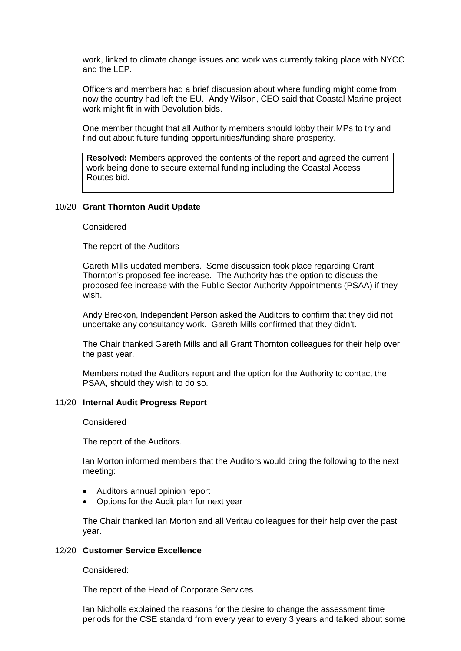work, linked to climate change issues and work was currently taking place with NYCC and the LEP.

Officers and members had a brief discussion about where funding might come from now the country had left the EU. Andy Wilson, CEO said that Coastal Marine project work might fit in with Devolution bids.

One member thought that all Authority members should lobby their MPs to try and find out about future funding opportunities/funding share prosperity.

**Resolved:** Members approved the contents of the report and agreed the current work being done to secure external funding including the Coastal Access Routes bid.

#### 10/20 **Grant Thornton Audit Update**

Considered

The report of the Auditors

Gareth Mills updated members. Some discussion took place regarding Grant Thornton's proposed fee increase. The Authority has the option to discuss the proposed fee increase with the Public Sector Authority Appointments (PSAA) if they wish.

Andy Breckon, Independent Person asked the Auditors to confirm that they did not undertake any consultancy work. Gareth Mills confirmed that they didn't.

The Chair thanked Gareth Mills and all Grant Thornton colleagues for their help over the past year.

Members noted the Auditors report and the option for the Authority to contact the PSAA, should they wish to do so.

#### 11/20 **Internal Audit Progress Report**

Considered

The report of the Auditors.

Ian Morton informed members that the Auditors would bring the following to the next meeting:

- Auditors annual opinion report
- Options for the Audit plan for next year

The Chair thanked Ian Morton and all Veritau colleagues for their help over the past year.

#### 12/20 **Customer Service Excellence**

Considered:

The report of the Head of Corporate Services

Ian Nicholls explained the reasons for the desire to change the assessment time periods for the CSE standard from every year to every 3 years and talked about some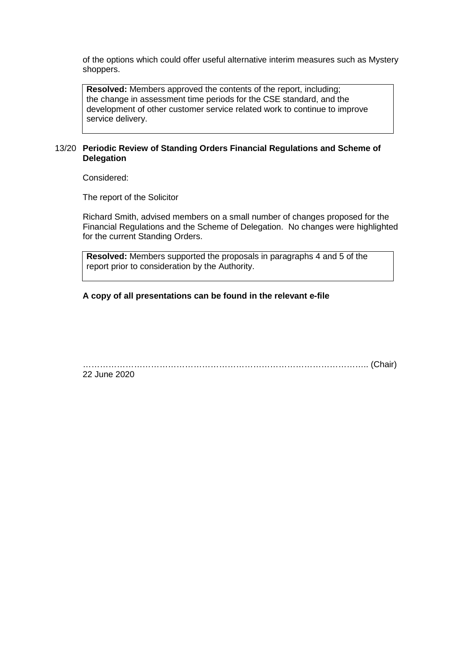of the options which could offer useful alternative interim measures such as Mystery shoppers.

**Resolved:** Members approved the contents of the report, including; the change in assessment time periods for the CSE standard, and the development of other customer service related work to continue to improve service delivery.

# 13/20 **Periodic Review of Standing Orders Financial Regulations and Scheme of Delegation**

Considered:

The report of the Solicitor

Richard Smith, advised members on a small number of changes proposed for the Financial Regulations and the Scheme of Delegation. No changes were highlighted for the current Standing Orders.

**Resolved:** Members supported the proposals in paragraphs 4 and 5 of the report prior to consideration by the Authority.

**A copy of all presentations can be found in the relevant e-file**

……………………………………………………………………………………….. (Chair) 22 June 2020